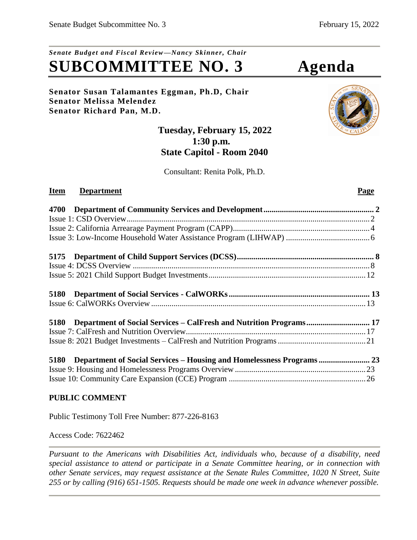# *Senate Budget and Fiscal Review—Nancy Skinner, Chair* **SUBCOMMITTEE NO. 3 Agenda**

## **Senator Susan Talamantes Eggman, Ph.D, Chair Senator Melissa Melendez Senator Richard Pan, M.D.**

# **Tuesday, February 15, 2022 1:30 p.m. State Capitol - Room 2040**

Consultant: Renita Polk, Ph.D.

# **Item Department** Page

| 5180 Department of Social Services – CalFresh and Nutrition Programs 17      |  |
|------------------------------------------------------------------------------|--|
|                                                                              |  |
|                                                                              |  |
| Department of Social Services - Housing and Homelessness Programs 23<br>5180 |  |
|                                                                              |  |
|                                                                              |  |

# **PUBLIC COMMENT**

Public Testimony Toll Free Number: 877-226-8163

Access Code: 7622462

*Pursuant to the Americans with Disabilities Act, individuals who, because of a disability, need special assistance to attend or participate in a Senate Committee hearing, or in connection with other Senate services, may request assistance at the Senate Rules Committee, 1020 N Street, Suite 255 or by calling (916) 651-1505. Requests should be made one week in advance whenever possible.*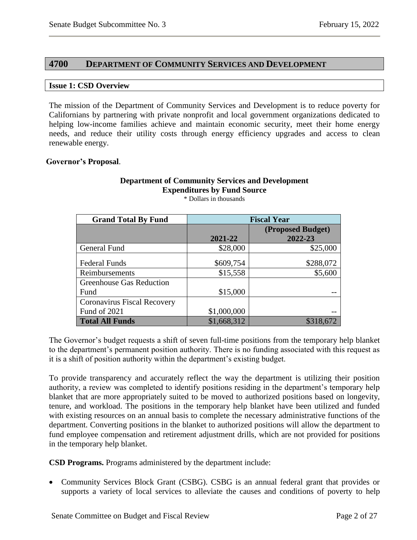## <span id="page-1-0"></span>**4700 DEPARTMENT OF COMMUNITY SERVICES AND DEVELOPMENT**

#### <span id="page-1-1"></span>**Issue 1: CSD Overview**

The mission of the Department of Community Services and Development is to reduce poverty for Californians by partnering with private nonprofit and local government organizations dedicated to helping low-income families achieve and maintain economic security, meet their home energy needs, and reduce their utility costs through energy efficiency upgrades and access to clean renewable energy.

#### **Governor's Proposal**.

## **Department of Community Services and Development Expenditures by Fund Source**

\* Dollars in thousands

| <b>Grand Total By Fund</b>      | <b>Fiscal Year</b> |                   |  |  |
|---------------------------------|--------------------|-------------------|--|--|
|                                 |                    | (Proposed Budget) |  |  |
|                                 | 2021-22            | 2022-23           |  |  |
| General Fund                    | \$28,000           | \$25,000          |  |  |
| <b>Federal Funds</b>            | \$609,754          | \$288,072         |  |  |
| Reimbursements                  | \$15,558           | \$5,600           |  |  |
| <b>Greenhouse Gas Reduction</b> |                    |                   |  |  |
| Fund                            | \$15,000           |                   |  |  |
| Coronavirus Fiscal Recovery     |                    |                   |  |  |
| Fund of 2021                    | \$1,000,000        |                   |  |  |
| <b>Total All Funds</b>          | \$1,668,312        | \$318,672         |  |  |

The Governor's budget requests a shift of seven full-time positions from the temporary help blanket to the department's permanent position authority. There is no funding associated with this request as it is a shift of position authority within the department's existing budget.

To provide transparency and accurately reflect the way the department is utilizing their position authority, a review was completed to identify positions residing in the department's temporary help blanket that are more appropriately suited to be moved to authorized positions based on longevity, tenure, and workload. The positions in the temporary help blanket have been utilized and funded with existing resources on an annual basis to complete the necessary administrative functions of the department. Converting positions in the blanket to authorized positions will allow the department to fund employee compensation and retirement adjustment drills, which are not provided for positions in the temporary help blanket.

**CSD Programs.** Programs administered by the department include:

• Community Services Block Grant (CSBG). CSBG is an annual federal grant that provides or supports a variety of local services to alleviate the causes and conditions of poverty to help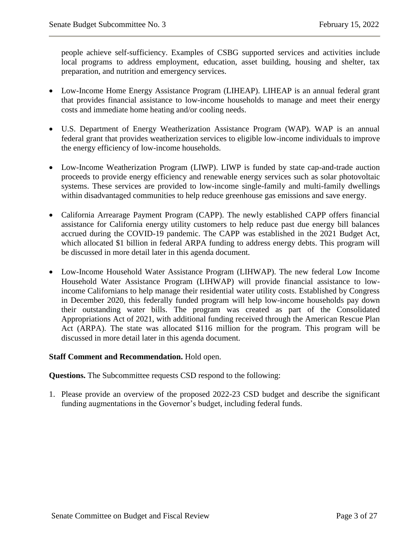people achieve self-sufficiency. Examples of CSBG supported services and activities include local programs to address employment, education, asset building, housing and shelter, tax preparation, and nutrition and emergency services.

- Low-Income Home Energy Assistance Program (LIHEAP). LIHEAP is an annual federal grant that provides financial assistance to low-income households to manage and meet their energy costs and immediate home heating and/or cooling needs.
- U.S. Department of Energy Weatherization Assistance Program (WAP). WAP is an annual federal grant that provides weatherization services to eligible low-income individuals to improve the energy efficiency of low-income households.
- Low-Income Weatherization Program (LIWP). LIWP is funded by state cap-and-trade auction proceeds to provide energy efficiency and renewable energy services such as solar photovoltaic systems. These services are provided to low-income single-family and multi-family dwellings within disadvantaged communities to help reduce greenhouse gas emissions and save energy.
- California Arrearage Payment Program (CAPP). The newly established CAPP offers financial assistance for California energy utility customers to help reduce past due energy bill balances accrued during the COVID-19 pandemic. The CAPP was established in the 2021 Budget Act, which allocated \$1 billion in federal ARPA funding to address energy debts. This program will be discussed in more detail later in this agenda document.
- Low-Income Household Water Assistance Program (LIHWAP). The new federal Low Income Household Water Assistance Program (LIHWAP) will provide financial assistance to lowincome Californians to help manage their residential water utility costs. Established by Congress in December 2020, this federally funded program will help low-income households pay down their outstanding water bills. The program was created as part of the Consolidated Appropriations Act of 2021, with additional funding received through the American Rescue Plan Act (ARPA). The state was allocated \$116 million for the program. This program will be discussed in more detail later in this agenda document.

# **Staff Comment and Recommendation.** Hold open.

**Questions.** The Subcommittee requests CSD respond to the following:

1. Please provide an overview of the proposed 2022-23 CSD budget and describe the significant funding augmentations in the Governor's budget, including federal funds.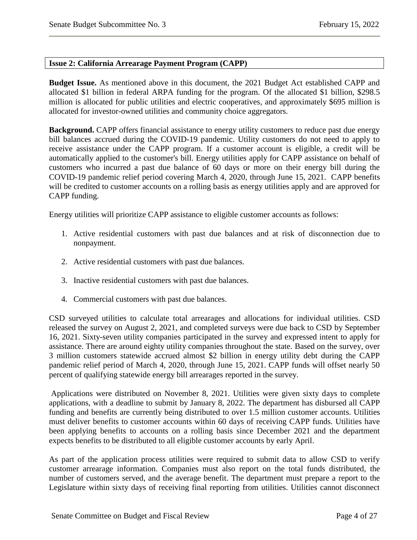#### <span id="page-3-0"></span>**Issue 2: California Arrearage Payment Program (CAPP)**

**Budget Issue.** As mentioned above in this document, the 2021 Budget Act established CAPP and allocated \$1 billion in federal ARPA funding for the program. Of the allocated \$1 billion, \$298.5 million is allocated for public utilities and electric cooperatives, and approximately \$695 million is allocated for investor-owned utilities and community choice aggregators.

**Background.** CAPP offers financial assistance to energy utility customers to reduce past due energy bill balances accrued during the COVID-19 pandemic. Utility customers do not need to apply to receive assistance under the CAPP program. If a customer account is eligible, a credit will be automatically applied to the customer's bill. Energy utilities apply for CAPP assistance on behalf of customers who incurred a past due balance of 60 days or more on their energy bill during the COVID-19 pandemic relief period covering March 4, 2020, through June 15, 2021. CAPP benefits will be credited to customer accounts on a rolling basis as energy utilities apply and are approved for CAPP funding.

Energy utilities will prioritize CAPP assistance to eligible customer accounts as follows:

- 1. Active residential customers with past due balances and at risk of disconnection due to nonpayment.
- 2. Active residential customers with past due balances.
- 3. Inactive residential customers with past due balances.
- 4. Commercial customers with past due balances.

CSD surveyed utilities to calculate total arrearages and allocations for individual utilities. CSD released the survey on August 2, 2021, and completed surveys were due back to CSD by September 16, 2021. Sixty-seven utility companies participated in the survey and expressed intent to apply for assistance. There are around eighty utility companies throughout the state. Based on the survey, over 3 million customers statewide accrued almost \$2 billion in energy utility debt during the CAPP pandemic relief period of March 4, 2020, through June 15, 2021. CAPP funds will offset nearly 50 percent of qualifying statewide energy bill arrearages reported in the survey.

Applications were distributed on November 8, 2021. Utilities were given sixty days to complete applications, with a deadline to submit by January 8, 2022. The department has disbursed all CAPP funding and benefits are currently being distributed to over 1.5 million customer accounts. Utilities must deliver benefits to customer accounts within 60 days of receiving CAPP funds. Utilities have been applying benefits to accounts on a rolling basis since December 2021 and the department expects benefits to be distributed to all eligible customer accounts by early April.

As part of the application process utilities were required to submit data to allow CSD to verify customer arrearage information. Companies must also report on the total funds distributed, the number of customers served, and the average benefit. The department must prepare a report to the Legislature within sixty days of receiving final reporting from utilities. Utilities cannot disconnect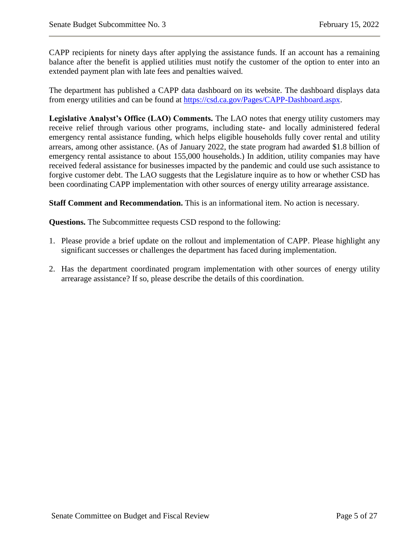CAPP recipients for ninety days after applying the assistance funds. If an account has a remaining balance after the benefit is applied utilities must notify the customer of the option to enter into an extended payment plan with late fees and penalties waived.

The department has published a CAPP data dashboard on its website. The dashboard displays data from energy utilities and can be found at [https://csd.ca.gov/Pages/CAPP-Dashboard.aspx.](https://csd.ca.gov/Pages/CAPP-Dashboard.aspx)

**Legislative Analyst's Office (LAO) Comments.** The LAO notes that energy utility customers may receive relief through various other programs, including state- and locally administered federal emergency rental assistance funding, which helps eligible households fully cover rental and utility arrears, among other assistance. (As of January 2022, the state program had awarded \$1.8 billion of emergency rental assistance to about 155,000 households.) In addition, utility companies may have received federal assistance for businesses impacted by the pandemic and could use such assistance to forgive customer debt. The LAO suggests that the Legislature inquire as to how or whether CSD has been coordinating CAPP implementation with other sources of energy utility arrearage assistance.

**Staff Comment and Recommendation.** This is an informational item. No action is necessary.

- 1. Please provide a brief update on the rollout and implementation of CAPP. Please highlight any significant successes or challenges the department has faced during implementation.
- 2. Has the department coordinated program implementation with other sources of energy utility arrearage assistance? If so, please describe the details of this coordination.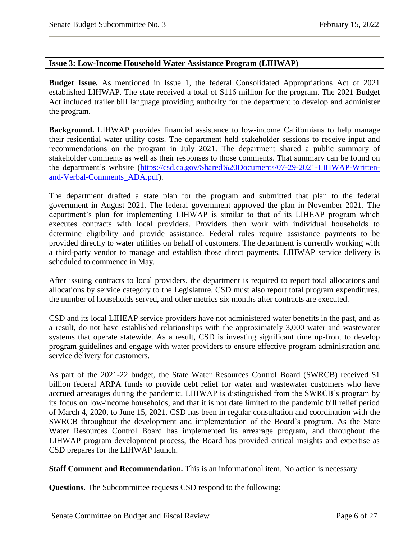#### <span id="page-5-0"></span>**Issue 3: Low-Income Household Water Assistance Program (LIHWAP)**

**Budget Issue.** As mentioned in Issue 1, the federal Consolidated Appropriations Act of 2021 established LIHWAP. The state received a total of \$116 million for the program. The 2021 Budget Act included trailer bill language providing authority for the department to develop and administer the program.

**Background.** LIHWAP provides financial assistance to low-income Californians to help manage their residential water utility costs. The department held stakeholder sessions to receive input and recommendations on the program in July 2021. The department shared a public summary of stakeholder comments as well as their responses to those comments. That summary can be found on the department's website [\(https://csd.ca.gov/Shared%20Documents/07-29-2021-LIHWAP-Written](https://csd.ca.gov/Shared%20Documents/07-29-2021-LIHWAP-Written-and-Verbal-Comments_ADA.pdf)[and-Verbal-Comments\\_ADA.pdf\)](https://csd.ca.gov/Shared%20Documents/07-29-2021-LIHWAP-Written-and-Verbal-Comments_ADA.pdf).

The department drafted a state plan for the program and submitted that plan to the federal government in August 2021. The federal government approved the plan in November 2021. The department's plan for implementing LIHWAP is similar to that of its LIHEAP program which executes contracts with local providers. Providers then work with individual households to determine eligibility and provide assistance. Federal rules require assistance payments to be provided directly to water utilities on behalf of customers. The department is currently working with a third-party vendor to manage and establish those direct payments. LIHWAP service delivery is scheduled to commence in May.

After issuing contracts to local providers, the department is required to report total allocations and allocations by service category to the Legislature. CSD must also report total program expenditures, the number of households served, and other metrics six months after contracts are executed.

CSD and its local LIHEAP service providers have not administered water benefits in the past, and as a result, do not have established relationships with the approximately 3,000 water and wastewater systems that operate statewide. As a result, CSD is investing significant time up-front to develop program guidelines and engage with water providers to ensure effective program administration and service delivery for customers.

As part of the 2021-22 budget, the State Water Resources Control Board (SWRCB) received \$1 billion federal ARPA funds to provide debt relief for water and wastewater customers who have accrued arrearages during the pandemic. LIHWAP is distinguished from the SWRCB's program by its focus on low-income households, and that it is not date limited to the pandemic bill relief period of March 4, 2020, to June 15, 2021. CSD has been in regular consultation and coordination with the SWRCB throughout the development and implementation of the Board's program. As the State Water Resources Control Board has implemented its arrearage program, and throughout the LIHWAP program development process, the Board has provided critical insights and expertise as CSD prepares for the LIHWAP launch.

**Staff Comment and Recommendation.** This is an informational item. No action is necessary.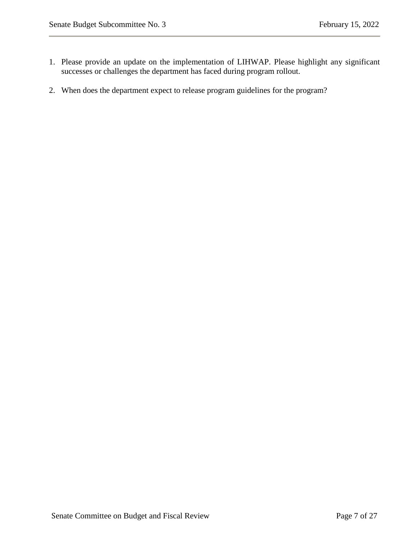- 1. Please provide an update on the implementation of LIHWAP. Please highlight any significant successes or challenges the department has faced during program rollout.
- 2. When does the department expect to release program guidelines for the program?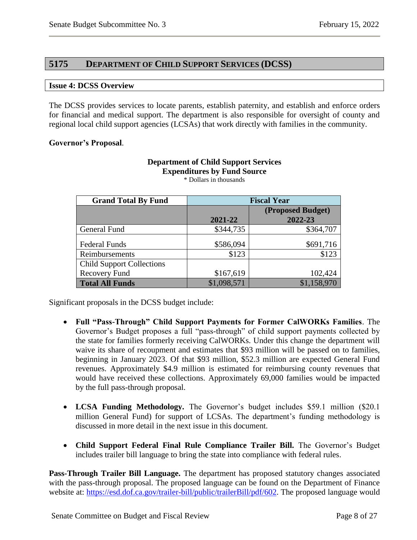# <span id="page-7-0"></span>**5175 DEPARTMENT OF CHILD SUPPORT SERVICES (DCSS)**

#### <span id="page-7-1"></span>**Issue 4: DCSS Overview**

The DCSS provides services to locate parents, establish paternity, and establish and enforce orders for financial and medical support. The department is also responsible for oversight of county and regional local child support agencies (LCSAs) that work directly with families in the community.

#### **Governor's Proposal**.

| <b>Grand Total By Fund</b>       | <b>Fiscal Year</b> |                   |  |  |  |
|----------------------------------|--------------------|-------------------|--|--|--|
|                                  |                    | (Proposed Budget) |  |  |  |
|                                  | 2021-22            | 2022-23           |  |  |  |
| General Fund                     | \$344,735          | \$364,707         |  |  |  |
| <b>Federal Funds</b>             | \$586,094          | \$691,716         |  |  |  |
| Reimbursements                   | \$123              | \$123             |  |  |  |
| <b>Child Support Collections</b> |                    |                   |  |  |  |
| Recovery Fund                    | \$167,619          | 102,424           |  |  |  |
| <b>Total All Funds</b>           | \$1,098,571        | \$1,158,970       |  |  |  |

**Expenditures by Fund Source** \* Dollars in thousands

**Department of Child Support Services**

Significant proposals in the DCSS budget include:

- **Full "Pass-Through" Child Support Payments for Former CalWORKs Families**. The Governor's Budget proposes a full "pass-through" of child support payments collected by the state for families formerly receiving CalWORKs. Under this change the department will waive its share of recoupment and estimates that \$93 million will be passed on to families, beginning in January 2023. Of that \$93 million, \$52.3 million are expected General Fund revenues. Approximately \$4.9 million is estimated for reimbursing county revenues that would have received these collections. Approximately 69,000 families would be impacted by the full pass-through proposal.
- **LCSA Funding Methodology.** The Governor's budget includes \$59.1 million (\$20.1 million General Fund) for support of LCSAs. The department's funding methodology is discussed in more detail in the next issue in this document.
- **Child Support Federal Final Rule Compliance Trailer Bill.** The Governor's Budget includes trailer bill language to bring the state into compliance with federal rules.

**Pass-Through Trailer Bill Language.** The department has proposed statutory changes associated with the pass-through proposal. The proposed language can be found on the Department of Finance website at: [https://esd.dof.ca.gov/trailer-bill/public/trailerBill/pdf/602.](https://esd.dof.ca.gov/trailer-bill/public/trailerBill/pdf/602) The proposed language would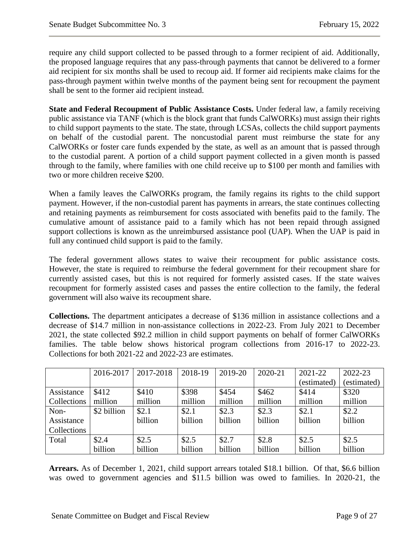require any child support collected to be passed through to a former recipient of aid. Additionally, the proposed language requires that any pass-through payments that cannot be delivered to a former aid recipient for six months shall be used to recoup aid. If former aid recipients make claims for the pass-through payment within twelve months of the payment being sent for recoupment the payment shall be sent to the former aid recipient instead.

**State and Federal Recoupment of Public Assistance Costs.** Under federal law, a family receiving public assistance via TANF (which is the block grant that funds CalWORKs) must assign their rights to child support payments to the state. The state, through LCSAs, collects the child support payments on behalf of the custodial parent. The noncustodial parent must reimburse the state for any CalWORKs or foster care funds expended by the state, as well as an amount that is passed through to the custodial parent. A portion of a child support payment collected in a given month is passed through to the family, where families with one child receive up to \$100 per month and families with two or more children receive \$200.

When a family leaves the CalWORKs program, the family regains its rights to the child support payment. However, if the non-custodial parent has payments in arrears, the state continues collecting and retaining payments as reimbursement for costs associated with benefits paid to the family. The cumulative amount of assistance paid to a family which has not been repaid through assigned support collections is known as the unreimbursed assistance pool (UAP). When the UAP is paid in full any continued child support is paid to the family.

The federal government allows states to waive their recoupment for public assistance costs. However, the state is required to reimburse the federal government for their recoupment share for currently assisted cases, but this is not required for formerly assisted cases. If the state waives recoupment for formerly assisted cases and passes the entire collection to the family, the federal government will also waive its recoupment share.

**Collections.** The department anticipates a decrease of \$136 million in assistance collections and a decrease of \$14.7 million in non-assistance collections in 2022-23. From July 2021 to December 2021, the state collected \$92.2 million in child support payments on behalf of former CalWORKs families. The table below shows historical program collections from 2016-17 to 2022-23. Collections for both 2021-22 and 2022-23 are estimates.

|             | 2016-2017   | 2017-2018 | 2018-19 | 2019-20 | 2020-21 | 2021-22     | 2022-23     |
|-------------|-------------|-----------|---------|---------|---------|-------------|-------------|
|             |             |           |         |         |         | (estimated) | (estimated) |
| Assistance  | \$412       | \$410     | \$398   | \$454   | \$462   | \$414       | \$320       |
| Collections | million     | million   | million | million | million | million     | million     |
| Non-        | \$2 billion | \$2.1     | \$2.1   | \$2.3   | \$2.3   | \$2.1       | \$2.2       |
| Assistance  |             | billion   | billion | billion | billion | billion     | billion     |
| Collections |             |           |         |         |         |             |             |
| Total       | \$2.4       | \$2.5     | \$2.5   | \$2.7   | \$2.8   | \$2.5       | \$2.5       |
|             | billion     | billion   | billion | billion | billion | billion     | billion     |

**Arrears.** As of December 1, 2021, child support arrears totaled \$18.1 billion. Of that, \$6.6 billion was owed to government agencies and \$11.5 billion was owed to families. In 2020-21, the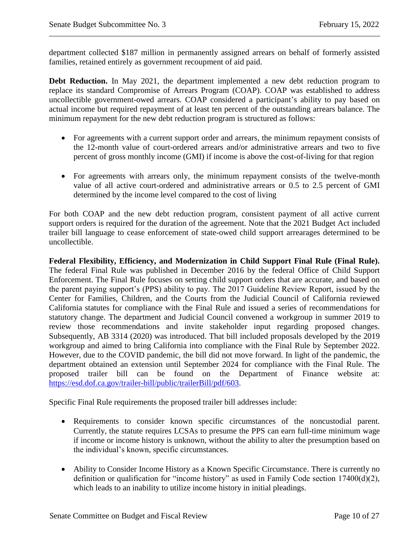department collected \$187 million in permanently assigned arrears on behalf of formerly assisted families, retained entirely as government recoupment of aid paid.

**Debt Reduction.** In May 2021, the department implemented a new debt reduction program to replace its standard Compromise of Arrears Program (COAP). COAP was established to address uncollectible government-owed arrears. COAP considered a participant's ability to pay based on actual income but required repayment of at least ten percent of the outstanding arrears balance. The minimum repayment for the new debt reduction program is structured as follows:

- For agreements with a current support order and arrears, the minimum repayment consists of the 12-month value of court-ordered arrears and/or administrative arrears and two to five percent of gross monthly income (GMI) if income is above the cost-of-living for that region
- For agreements with arrears only, the minimum repayment consists of the twelve-month value of all active court-ordered and administrative arrears or 0.5 to 2.5 percent of GMI determined by the income level compared to the cost of living

For both COAP and the new debt reduction program, consistent payment of all active current support orders is required for the duration of the agreement. Note that the 2021 Budget Act included trailer bill language to cease enforcement of state-owed child support arrearages determined to be uncollectible.

**Federal Flexibility, Efficiency, and Modernization in Child Support Final Rule (Final Rule).**  The federal Final Rule was published in December 2016 by the federal Office of Child Support Enforcement. The Final Rule focuses on setting child support orders that are accurate, and based on the parent paying support's (PPS) ability to pay. The 2017 Guideline Review Report, issued by the Center for Families, Children, and the Courts from the Judicial Council of California reviewed California statutes for compliance with the Final Rule and issued a series of recommendations for statutory change. The department and Judicial Council convened a workgroup in summer 2019 to review those recommendations and invite stakeholder input regarding proposed changes. Subsequently, AB 3314 (2020) was introduced. That bill included proposals developed by the 2019 workgroup and aimed to bring California into compliance with the Final Rule by September 2022. However, due to the COVID pandemic, the bill did not move forward. In light of the pandemic, the department obtained an extension until September 2024 for compliance with the Final Rule. The proposed trailer bill can be found on the Department of Finance website at: [https://esd.dof.ca.gov/trailer-bill/public/trailerBill/pdf/603.](https://esd.dof.ca.gov/trailer-bill/public/trailerBill/pdf/603)

Specific Final Rule requirements the proposed trailer bill addresses include:

- Requirements to consider known specific circumstances of the noncustodial parent. Currently, the statute requires LCSAs to presume the PPS can earn full-time minimum wage if income or income history is unknown, without the ability to alter the presumption based on the individual's known, specific circumstances.
- Ability to Consider Income History as a Known Specific Circumstance. There is currently no definition or qualification for "income history" as used in Family Code section 17400(d)(2), which leads to an inability to utilize income history in initial pleadings.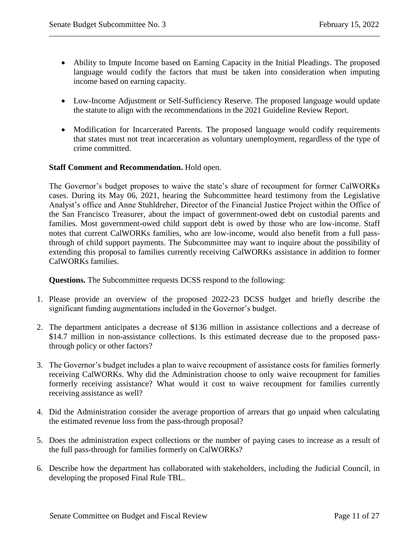- Ability to Impute Income based on Earning Capacity in the Initial Pleadings. The proposed language would codify the factors that must be taken into consideration when imputing income based on earning capacity.
- Low-Income Adjustment or Self-Sufficiency Reserve. The proposed language would update the statute to align with the recommendations in the 2021 Guideline Review Report.
- Modification for Incarcerated Parents. The proposed language would codify requirements that states must not treat incarceration as voluntary unemployment, regardless of the type of crime committed.

#### **Staff Comment and Recommendation.** Hold open.

The Governor's budget proposes to waive the state's share of recoupment for former CalWORKs cases. During its May 06, 2021, hearing the Subcommittee heard testimony from the Legislative Analyst's office and Anne Stuhldreher, Director of the Financial Justice Project within the Office of the San Francisco Treasurer, about the impact of government-owed debt on custodial parents and families. Most government-owed child support debt is owed by those who are low-income. Staff notes that current CalWORKs families, who are low-income, would also benefit from a full passthrough of child support payments. The Subcommittee may want to inquire about the possibility of extending this proposal to families currently receiving CalWORKs assistance in addition to former CalWORKs families.

- 1. Please provide an overview of the proposed 2022-23 DCSS budget and briefly describe the significant funding augmentations included in the Governor's budget.
- 2. The department anticipates a decrease of \$136 million in assistance collections and a decrease of \$14.7 million in non-assistance collections. Is this estimated decrease due to the proposed passthrough policy or other factors?
- 3. The Governor's budget includes a plan to waive recoupment of assistance costs for families formerly receiving CalWORKs. Why did the Administration choose to only waive recoupment for families formerly receiving assistance? What would it cost to waive recoupment for families currently receiving assistance as well?
- 4. Did the Administration consider the average proportion of arrears that go unpaid when calculating the estimated revenue loss from the pass-through proposal?
- 5. Does the administration expect collections or the number of paying cases to increase as a result of the full pass-through for families formerly on CalWORKs?
- 6. Describe how the department has collaborated with stakeholders, including the Judicial Council, in developing the proposed Final Rule TBL.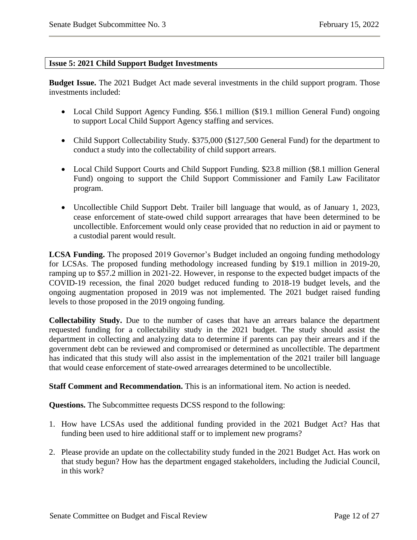#### <span id="page-11-0"></span>**Issue 5: 2021 Child Support Budget Investments**

**Budget Issue.** The 2021 Budget Act made several investments in the child support program. Those investments included:

- Local Child Support Agency Funding. \$56.1 million (\$19.1 million General Fund) ongoing to support Local Child Support Agency staffing and services.
- Child Support Collectability Study. \$375,000 (\$127,500 General Fund) for the department to conduct a study into the collectability of child support arrears.
- Local Child Support Courts and Child Support Funding. \$23.8 million (\$8.1 million General Fund) ongoing to support the Child Support Commissioner and Family Law Facilitator program.
- Uncollectible Child Support Debt. Trailer bill language that would, as of January 1, 2023, cease enforcement of state-owed child support arrearages that have been determined to be uncollectible. Enforcement would only cease provided that no reduction in aid or payment to a custodial parent would result.

**LCSA Funding.** The proposed 2019 Governor's Budget included an ongoing funding methodology for LCSAs. The proposed funding methodology increased funding by \$19.1 million in 2019-20, ramping up to \$57.2 million in 2021-22. However, in response to the expected budget impacts of the COVID-19 recession, the final 2020 budget reduced funding to 2018-19 budget levels, and the ongoing augmentation proposed in 2019 was not implemented. The 2021 budget raised funding levels to those proposed in the 2019 ongoing funding.

**Collectability Study.** Due to the number of cases that have an arrears balance the department requested funding for a collectability study in the 2021 budget. The study should assist the department in collecting and analyzing data to determine if parents can pay their arrears and if the government debt can be reviewed and compromised or determined as uncollectible. The department has indicated that this study will also assist in the implementation of the 2021 trailer bill language that would cease enforcement of state-owed arrearages determined to be uncollectible.

**Staff Comment and Recommendation.** This is an informational item. No action is needed.

- 1. How have LCSAs used the additional funding provided in the 2021 Budget Act? Has that funding been used to hire additional staff or to implement new programs?
- 2. Please provide an update on the collectability study funded in the 2021 Budget Act. Has work on that study begun? How has the department engaged stakeholders, including the Judicial Council, in this work?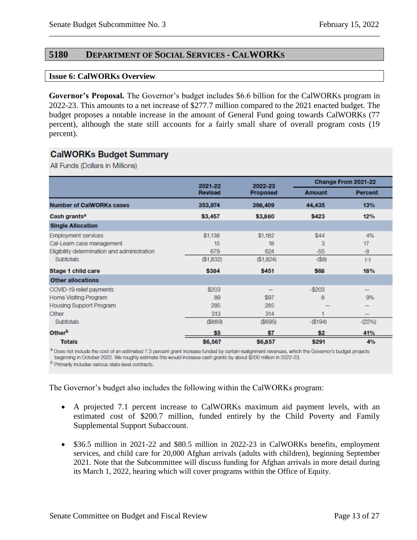# <span id="page-12-0"></span>**5180 DEPARTMENT OF SOCIAL SERVICES - CALWORKS**

#### <span id="page-12-1"></span>**Issue 6: CalWORKs Overview**

**Governor's Proposal.** The Governor's budget includes \$6.6 billion for the CalWORKs program in 2022-23. This amounts to a net increase of \$277.7 million compared to the 2021 enacted budget. The budget proposes a notable increase in the amount of General Fund going towards CalWORKs (77 percent), although the state still accounts for a fairly small share of overall program costs (19 percent).

# **CalWORKs Budget Summary**

All Funds (Dollars in Millions)

|                                              | 2021-22        | 2022-23         | Change From 2021-22 |                 |
|----------------------------------------------|----------------|-----------------|---------------------|-----------------|
|                                              | <b>Revised</b> | <b>Proposed</b> | Amount              | <b>Percent</b>  |
| <b>Number of CalWORKs cases</b>              | 353,974        | 398,409         | 44,435              | 13%             |
| Cash grants <sup>a</sup>                     | \$3,457        | \$3,880         | \$423               | 12%             |
| <b>Single Allocation</b>                     |                |                 |                     |                 |
| <b>Employment services</b>                   | \$1,138        | \$1,182         | \$44                | 4%              |
| Cal-Learn case management                    | 15             | 18              | 3                   | 17              |
| Eligibility determination and administration | 679            | 624             | $-55$               | -8              |
| <b>Subtotals</b>                             | (\$1,832)      | (\$1,824)       | $-($8)$             | $(\mathcal{a})$ |
| Stage 1 child care                           | \$384          | \$451           | \$68                | 18%             |
| <b>Other allocations</b>                     |                |                 |                     |                 |
| COVID-19 relief payments                     | \$203          |                 | $-$203$             | —               |
| Home Visiting Program                        | 89             | \$97            | 8                   | 9%              |
| <b>Housing Support Program</b>               | 285            | 285             |                     |                 |
| Other                                        | 313            | 314             |                     |                 |
| <b>Subtotals</b>                             | (\$889)        | (\$695)         | $-(\$194)$          | $-(22%)$        |
| Otherb                                       | \$5            | \$7             | \$2                 | 41%             |
| <b>Totals</b>                                | \$6,567        | \$6,857         | \$291               | 4%              |

a Does not include the cost of an estimated 7.3 percent grant increase funded by certain realignment revenues, which the Governor's budget projects beginning in October 2022. We roughly estimate this would increase cash grants by about \$200 million in 2022-23.

b Primarily includes various state-level contracts.

The Governor's budget also includes the following within the CalWORKs program:

- A projected 7.1 percent increase to CalWORKs maximum aid payment levels, with an estimated cost of \$200.7 million, funded entirely by the Child Poverty and Family Supplemental Support Subaccount.
- \$36.5 million in 2021-22 and \$80.5 million in 2022-23 in CalWORKs benefits, employment services, and child care for 20,000 Afghan arrivals (adults with children), beginning September 2021. Note that the Subcommittee will discuss funding for Afghan arrivals in more detail during its March 1, 2022, hearing which will cover programs within the Office of Equity.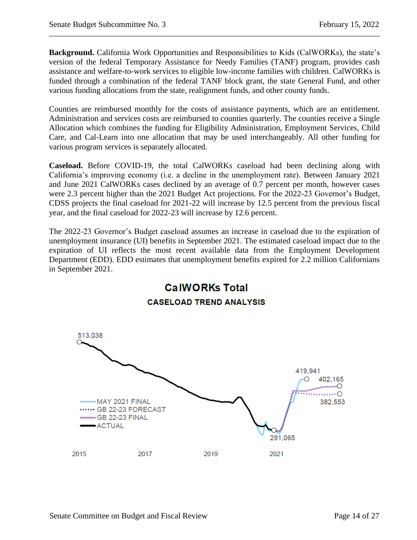**Background.** California Work Opportunities and Responsibilities to Kids (CalWORKs), the state's version of the federal Temporary Assistance for Needy Families (TANF) program, provides cash assistance and welfare-to-work services to eligible low-income families with children. CalWORKs is funded through a combination of the federal TANF block grant, the state General Fund, and other various funding allocations from the state, realignment funds, and other county funds.

Counties are reimbursed monthly for the costs of assistance payments, which are an entitlement. Administration and services costs are reimbursed to counties quarterly. The counties receive a Single Allocation which combines the funding for Eligibility Administration, Employment Services, Child Care, and Cal-Learn into one allocation that may be used interchangeably. All other funding for various program services is separately allocated.

**Caseload.** Before COVID-19, the total CalWORKs caseload had been declining along with California's improving economy (i.e. a decline in the unemployment rate). Between January 2021 and June 2021 CalWORKs cases declined by an average of 0.7 percent per month, however cases were 2.3 percent higher than the 2021 Budget Act projections. For the 2022-23 Governor's Budget, CDSS projects the final caseload for 2021-22 will increase by 12.5 percent from the previous fiscal year, and the final caseload for 2022-23 will increase by 12.6 percent.

The 2022-23 Governor's Budget caseload assumes an increase in caseload due to the expiration of unemployment insurance (UI) benefits in September 2021. The estimated caseload impact due to the expiration of UI reflects the most recent available data from the Employment Development Department (EDD). EDD estimates that unemployment benefits expired for 2.2 million Californians in September 2021.

**CalWORKs Total** 

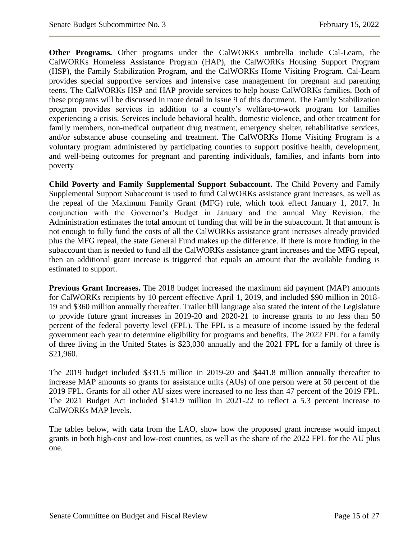**Other Programs.** Other programs under the CalWORKs umbrella include Cal-Learn, the CalWORKs Homeless Assistance Program (HAP), the CalWORKs Housing Support Program (HSP), the Family Stabilization Program, and the CalWORKs Home Visiting Program. Cal-Learn provides special supportive services and intensive case management for pregnant and parenting teens. The CalWORKs HSP and HAP provide services to help house CalWORKs families. Both of these programs will be discussed in more detail in Issue 9 of this document. The Family Stabilization program provides services in addition to a county's welfare-to-work program for families experiencing a crisis. Services include behavioral health, domestic violence, and other treatment for family members, non-medical outpatient drug treatment, emergency shelter, rehabilitative services, and/or substance abuse counseling and treatment. The CalWORKs Home Visiting Program is a voluntary program administered by participating counties to support positive health, development, and well-being outcomes for pregnant and parenting individuals, families, and infants born into poverty

**Child Poverty and Family Supplemental Support Subaccount.** The Child Poverty and Family Supplemental Support Subaccount is used to fund CalWORKs assistance grant increases, as well as the repeal of the Maximum Family Grant (MFG) rule, which took effect January 1, 2017. In conjunction with the Governor's Budget in January and the annual May Revision, the Administration estimates the total amount of funding that will be in the subaccount. If that amount is not enough to fully fund the costs of all the CalWORKs assistance grant increases already provided plus the MFG repeal, the state General Fund makes up the difference. If there is more funding in the subaccount than is needed to fund all the CalWORKs assistance grant increases and the MFG repeal, then an additional grant increase is triggered that equals an amount that the available funding is estimated to support.

**Previous Grant Increases.** The 2018 budget increased the maximum aid payment (MAP) amounts for CalWORKs recipients by 10 percent effective April 1, 2019, and included \$90 million in 2018- 19 and \$360 million annually thereafter. Trailer bill language also stated the intent of the Legislature to provide future grant increases in 2019-20 and 2020-21 to increase grants to no less than 50 percent of the federal poverty level (FPL). The FPL is a measure of income issued by the federal government each year to determine eligibility for programs and benefits. The 2022 FPL for a family of three living in the United States is \$23,030 annually and the 2021 FPL for a family of three is \$21,960.

The 2019 budget included \$331.5 million in 2019-20 and \$441.8 million annually thereafter to increase MAP amounts so grants for assistance units (AUs) of one person were at 50 percent of the 2019 FPL. Grants for all other AU sizes were increased to no less than 47 percent of the 2019 FPL. The 2021 Budget Act included \$141.9 million in 2021-22 to reflect a 5.3 percent increase to CalWORKs MAP levels.

The tables below, with data from the LAO, show how the proposed grant increase would impact grants in both high-cost and low-cost counties, as well as the share of the 2022 FPL for the AU plus one.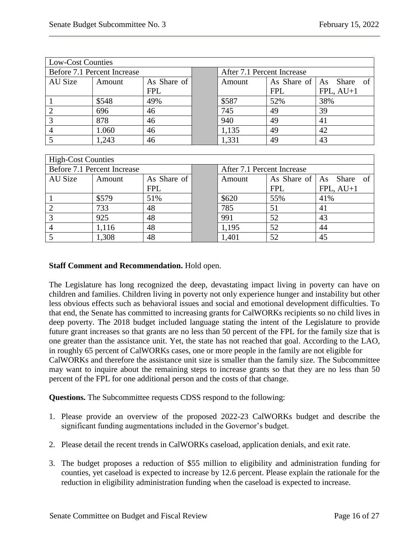| <b>Low-Cost Counties</b>    |                             |             |                            |                            |                                   |                          |
|-----------------------------|-----------------------------|-------------|----------------------------|----------------------------|-----------------------------------|--------------------------|
| Before 7.1 Percent Increase |                             |             | After 7.1 Percent Increase |                            |                                   |                          |
| <b>AU Size</b>              | Amount                      | As Share of |                            | Amount                     | As Share of<br>Share<br>As<br>-of |                          |
|                             |                             | <b>FPL</b>  |                            |                            | <b>FPL</b>                        | $FPL, AU+1$              |
|                             | \$548                       | 49%         |                            | \$587                      | 52%                               | 38%                      |
| $\overline{2}$              | 696                         | 46          |                            | 745                        | 49                                | 39                       |
| 3                           | 878                         | 46          |                            | 940                        | 49                                | 41                       |
| 4                           | 1.060                       | 46          |                            | 1,135                      | 49                                | 42                       |
| 5                           | 1,243                       | 46          |                            | 1,331                      | 49                                | 43                       |
|                             |                             |             |                            |                            |                                   |                          |
| <b>High-Cost Counties</b>   |                             |             |                            |                            |                                   |                          |
|                             | Before 7.1 Percent Increase |             |                            | After 7.1 Percent Increase |                                   |                          |
| AU Size                     | Amount                      | As Share of |                            | Amount                     | As Share of                       | of<br><b>Share</b><br>As |
|                             |                             | <b>FPL</b>  |                            |                            | <b>FPL</b>                        | $FPL, AU+1$              |
|                             | \$579                       | 51%         |                            | \$620                      | 55%                               | 41%                      |
| $\overline{2}$              | 733                         | 48          |                            | 785                        | 51                                | 41                       |

3 925 48 991 52 43 4 | 1,116 | 48 | 1,195 | 52 | 44 5 1,308 48 1,401 52 45

#### **Staff Comment and Recommendation.** Hold open.

The Legislature has long recognized the deep, devastating impact living in poverty can have on children and families. Children living in poverty not only experience hunger and instability but other less obvious effects such as behavioral issues and social and emotional development difficulties. To that end, the Senate has committed to increasing grants for CalWORKs recipients so no child lives in deep poverty. The 2018 budget included language stating the intent of the Legislature to provide future grant increases so that grants are no less than 50 percent of the FPL for the family size that is one greater than the assistance unit. Yet, the state has not reached that goal. According to the LAO, in roughly 65 percent of CalWORKs cases, one or more people in the family are not eligible for CalWORKs and therefore the assistance unit size is smaller than the family size. The Subcommittee may want to inquire about the remaining steps to increase grants so that they are no less than 50 percent of the FPL for one additional person and the costs of that change.

- 1. Please provide an overview of the proposed 2022-23 CalWORKs budget and describe the significant funding augmentations included in the Governor's budget.
- 2. Please detail the recent trends in CalWORKs caseload, application denials, and exit rate.
- 3. The budget proposes a reduction of \$55 million to eligibility and administration funding for counties, yet caseload is expected to increase by 12.6 percent. Please explain the rationale for the reduction in eligibility administration funding when the caseload is expected to increase.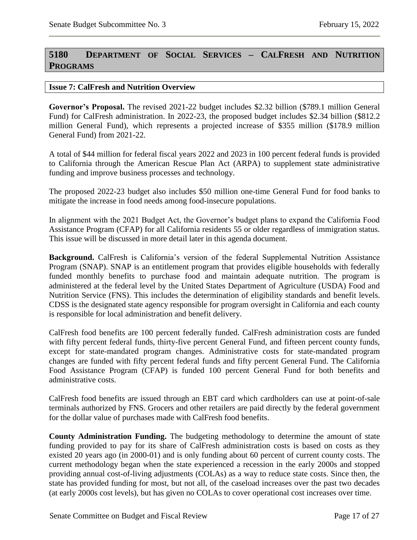# <span id="page-16-0"></span>**5180 DEPARTMENT OF SOCIAL SERVICES – CALFRESH AND NUTRITION PROGRAMS**

#### <span id="page-16-1"></span>**Issue 7: CalFresh and Nutrition Overview**

**Governor's Proposal.** The revised 2021-22 budget includes \$2.32 billion (\$789.1 million General Fund) for CalFresh administration. In 2022-23, the proposed budget includes \$2.34 billion (\$812.2 million General Fund), which represents a projected increase of \$355 million (\$178.9 million General Fund) from 2021-22.

A total of \$44 million for federal fiscal years 2022 and 2023 in 100 percent federal funds is provided to California through the American Rescue Plan Act (ARPA) to supplement state administrative funding and improve business processes and technology.

The proposed 2022-23 budget also includes \$50 million one-time General Fund for food banks to mitigate the increase in food needs among food-insecure populations.

In alignment with the 2021 Budget Act, the Governor's budget plans to expand the California Food Assistance Program (CFAP) for all California residents 55 or older regardless of immigration status. This issue will be discussed in more detail later in this agenda document.

**Background.** CalFresh is California's version of the federal Supplemental Nutrition Assistance Program (SNAP). SNAP is an entitlement program that provides eligible households with federally funded monthly benefits to purchase food and maintain adequate nutrition. The program is administered at the federal level by the United States Department of Agriculture (USDA) Food and Nutrition Service (FNS). This includes the determination of eligibility standards and benefit levels. CDSS is the designated state agency responsible for program oversight in California and each county is responsible for local administration and benefit delivery.

CalFresh food benefits are 100 percent federally funded. CalFresh administration costs are funded with fifty percent federal funds, thirty-five percent General Fund, and fifteen percent county funds, except for state-mandated program changes. Administrative costs for state-mandated program changes are funded with fifty percent federal funds and fifty percent General Fund. The California Food Assistance Program (CFAP) is funded 100 percent General Fund for both benefits and administrative costs.

CalFresh food benefits are issued through an EBT card which cardholders can use at point-of-sale terminals authorized by FNS. Grocers and other retailers are paid directly by the federal government for the dollar value of purchases made with CalFresh food benefits.

**County Administration Funding.** The budgeting methodology to determine the amount of state funding provided to pay for its share of CalFresh administration costs is based on costs as they existed 20 years ago (in 2000-01) and is only funding about 60 percent of current county costs. The current methodology began when the state experienced a recession in the early 2000s and stopped providing annual cost-of-living adjustments (COLAs) as a way to reduce state costs. Since then, the state has provided funding for most, but not all, of the caseload increases over the past two decades (at early 2000s cost levels), but has given no COLAs to cover operational cost increases over time.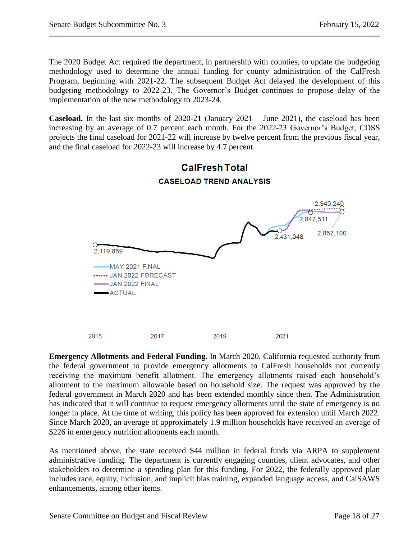The 2020 Budget Act required the department, in partnership with counties, to update the budgeting methodology used to determine the annual funding for county administration of the CalFresh Program, beginning with 2021-22. The subsequent Budget Act delayed the development of this budgeting methodology to 2022-23. The Governor's Budget continues to propose delay of the implementation of the new methodology to 2023-24.

**Caseload.** In the last six months of 2020-21 (January 2021 – June 2021), the caseload has been increasing by an average of 0.7 percent each month. For the 2022-23 Governor's Budget, CDSS projects the final caseload for 2021-22 will increase by twelve percent from the previous fiscal year, and the final caseload for 2022-23 will increase by 4.7 percent.



**Emergency Allotments and Federal Funding.** In March 2020, California requested authority from the federal government to provide emergency allotments to CalFresh households not currently receiving the maximum benefit allotment. The emergency allotments raised each household's allotment to the maximum allowable based on household size. The request was approved by the federal government in March 2020 and has been extended monthly since then. The Administration has indicated that it will continue to request emergency allotments until the state of emergency is no longer in place. At the time of writing, this policy has been approved for extension until March 2022. Since March 2020, an average of approximately 1.9 million households have received an average of \$226 in emergency nutrition allotments each month.

2019

2021

As mentioned above, the state received \$44 million in federal funds via ARPA to supplement administrative funding. The department is currently engaging counties, client advocates, and other stakeholders to determine a spending plan for this funding. For 2022, the federally approved plan includes race, equity, inclusion, and implicit bias training, expanded language access, and CalSAWS enhancements, among other items.

2015

2017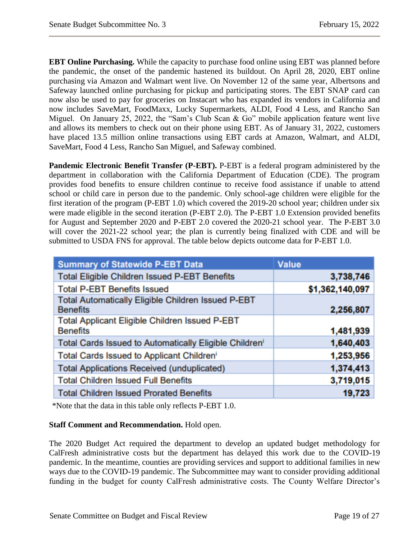**EBT Online Purchasing.** While the capacity to purchase food online using EBT was planned before the pandemic, the onset of the pandemic hastened its buildout. On April 28, 2020, EBT online purchasing via Amazon and Walmart went live. On November 12 of the same year, Albertsons and Safeway launched online purchasing for pickup and participating stores. The EBT SNAP card can now also be used to pay for groceries on Instacart who has expanded its vendors in California and now includes SaveMart, FoodMaxx, Lucky Supermarkets, ALDI, Food 4 Less, and Rancho San Miguel. On January 25, 2022, the "Sam's Club Scan & Go" mobile application feature went live and allows its members to check out on their phone using EBT. As of January 31, 2022, customers have placed 13.5 million online transactions using EBT cards at Amazon, Walmart, and ALDI, SaveMart, Food 4 Less, Rancho San Miguel, and Safeway combined.

**Pandemic Electronic Benefit Transfer (P-EBT).** P-EBT is a federal program administered by the department in collaboration with the California Department of Education (CDE). The program provides food benefits to ensure children continue to receive food assistance if unable to attend school or child care in person due to the pandemic. Only school-age children were eligible for the first iteration of the program (P-EBT 1.0) which covered the 2019-20 school year; children under six were made eligible in the second iteration (P-EBT 2.0). The P-EBT 1.0 Extension provided benefits for August and September 2020 and P-EBT 2.0 covered the 2020-21 school year. The P-EBT 3.0 will cover the 2021-22 school year; the plan is currently being finalized with CDE and will be submitted to USDA FNS for approval. The table below depicts outcome data for P-EBT 1.0.

| <b>Summary of Statewide P-EBT Data</b>                                       | <b>Value</b>    |
|------------------------------------------------------------------------------|-----------------|
| <b>Total Eligible Children Issued P-EBT Benefits</b>                         | 3,738,746       |
| <b>Total P-EBT Benefits Issued</b>                                           | \$1,362,140,097 |
| <b>Total Automatically Eligible Children Issued P-EBT</b><br><b>Benefits</b> | 2,256,807       |
| <b>Total Applicant Eligible Children Issued P-EBT</b><br><b>Benefits</b>     | 1,481,939       |
| Total Cards Issued to Automatically Eligible Children <sup>i</sup>           | 1,640,403       |
| Total Cards Issued to Applicant Children'                                    | 1,253,956       |
| <b>Total Applications Received (unduplicated)</b>                            | 1,374,413       |
| <b>Total Children Issued Full Benefits</b>                                   | 3,719,015       |
| <b>Total Children Issued Prorated Benefits</b>                               | 19,723          |

\*Note that the data in this table only reflects P-EBT 1.0.

# **Staff Comment and Recommendation.** Hold open.

The 2020 Budget Act required the department to develop an updated budget methodology for CalFresh administrative costs but the department has delayed this work due to the COVID-19 pandemic. In the meantime, counties are providing services and support to additional families in new ways due to the COVID-19 pandemic. The Subcommittee may want to consider providing additional funding in the budget for county CalFresh administrative costs. The County Welfare Director's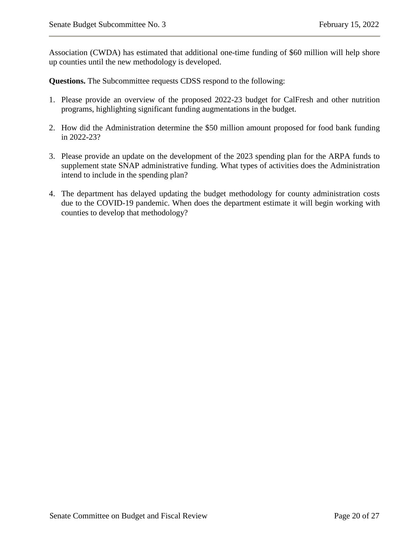Association (CWDA) has estimated that additional one-time funding of \$60 million will help shore up counties until the new methodology is developed.

- 1. Please provide an overview of the proposed 2022-23 budget for CalFresh and other nutrition programs, highlighting significant funding augmentations in the budget.
- 2. How did the Administration determine the \$50 million amount proposed for food bank funding in 2022-23?
- 3. Please provide an update on the development of the 2023 spending plan for the ARPA funds to supplement state SNAP administrative funding. What types of activities does the Administration intend to include in the spending plan?
- 4. The department has delayed updating the budget methodology for county administration costs due to the COVID-19 pandemic. When does the department estimate it will begin working with counties to develop that methodology?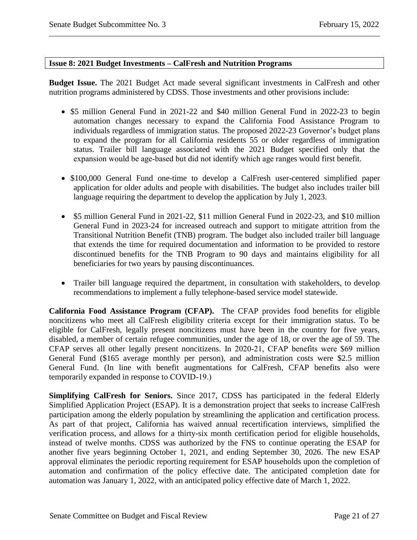#### <span id="page-20-0"></span>**Issue 8: 2021 Budget Investments – CalFresh and Nutrition Programs**

**Budget Issue.** The 2021 Budget Act made several significant investments in CalFresh and other nutrition programs administered by CDSS. Those investments and other provisions include:

- \$5 million General Fund in 2021-22 and \$40 million General Fund in 2022-23 to begin automation changes necessary to expand the California Food Assistance Program to individuals regardless of immigration status. The proposed 2022-23 Governor's budget plans to expand the program for all California residents 55 or older regardless of immigration status. Trailer bill language associated with the 2021 Budget specified only that the expansion would be age-based but did not identify which age ranges would first benefit.
- \$100,000 General Fund one-time to develop a CalFresh user-centered simplified paper application for older adults and people with disabilities. The budget also includes trailer bill language requiring the department to develop the application by July 1, 2023.
- \$5 million General Fund in 2021-22, \$11 million General Fund in 2022-23, and \$10 million General Fund in 2023-24 for increased outreach and support to mitigate attrition from the Transitional Nutrition Benefit (TNB) program. The budget also included trailer bill language that extends the time for required documentation and information to be provided to restore discontinued benefits for the TNB Program to 90 days and maintains eligibility for all beneficiaries for two years by pausing discontinuances.
- Trailer bill language required the department, in consultation with stakeholders, to develop recommendations to implement a fully telephone-based service model statewide.

**California Food Assistance Program (CFAP).** The CFAP provides food benefits for eligible noncitizens who meet all CalFresh eligibility criteria except for their immigration status. To be eligible for CalFresh, legally present noncitizens must have been in the country for five years, disabled, a member of certain refugee communities, under the age of 18, or over the age of 59. The CFAP serves all other legally present noncitizens. In 2020‑21, CFAP benefits were \$69 million General Fund (\$165 average monthly per person), and administration costs were \$2.5 million General Fund. (In line with benefit augmentations for CalFresh, CFAP benefits also were temporarily expanded in response to COVID‑19.)

**Simplifying CalFresh for Seniors.** Since 2017, CDSS has participated in the federal Elderly Simplified Application Project (ESAP). It is a demonstration project that seeks to increase CalFresh participation among the elderly population by streamlining the application and certification process. As part of that project, California has waived annual recertification interviews, simplified the verification process, and allows for a thirty-six month certification period for eligible households, instead of twelve months. CDSS was authorized by the FNS to continue operating the ESAP for another five years beginning October 1, 2021, and ending September 30, 2026. The new ESAP approval eliminates the periodic reporting requirement for ESAP households upon the completion of automation and confirmation of the policy effective date. The anticipated completion date for automation was January 1, 2022, with an anticipated policy effective date of March 1, 2022.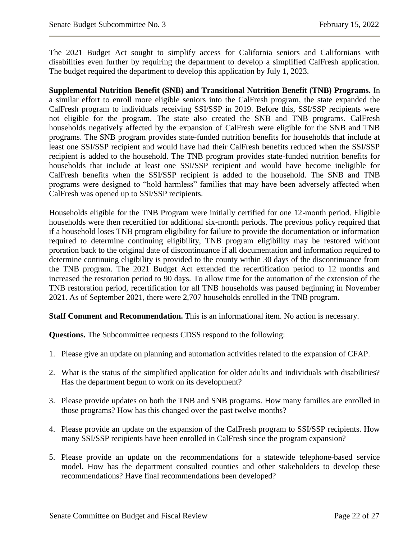The 2021 Budget Act sought to simplify access for California seniors and Californians with disabilities even further by requiring the department to develop a simplified CalFresh application. The budget required the department to develop this application by July 1, 2023.

**Supplemental Nutrition Benefit (SNB) and Transitional Nutrition Benefit (TNB) Programs.** In a similar effort to enroll more eligible seniors into the CalFresh program, the state expanded the CalFresh program to individuals receiving SSI/SSP in 2019. Before this, SSI/SSP recipients were not eligible for the program. The state also created the SNB and TNB programs. CalFresh households negatively affected by the expansion of CalFresh were eligible for the SNB and TNB programs. The SNB program provides state-funded nutrition benefits for households that include at least one SSI/SSP recipient and would have had their CalFresh benefits reduced when the SSI/SSP recipient is added to the household. The TNB program provides state-funded nutrition benefits for households that include at least one SSI/SSP recipient and would have become ineligible for CalFresh benefits when the SSI/SSP recipient is added to the household. The SNB and TNB programs were designed to "hold harmless" families that may have been adversely affected when CalFresh was opened up to SSI/SSP recipients.

Households eligible for the TNB Program were initially certified for one 12-month period. Eligible households were then recertified for additional six-month periods. The previous policy required that if a household loses TNB program eligibility for failure to provide the documentation or information required to determine continuing eligibility, TNB program eligibility may be restored without proration back to the original date of discontinuance if all documentation and information required to determine continuing eligibility is provided to the county within 30 days of the discontinuance from the TNB program. The 2021 Budget Act extended the recertification period to 12 months and increased the restoration period to 90 days. To allow time for the automation of the extension of the TNB restoration period, recertification for all TNB households was paused beginning in November 2021. As of September 2021, there were 2,707 households enrolled in the TNB program.

**Staff Comment and Recommendation.** This is an informational item. No action is necessary.

- 1. Please give an update on planning and automation activities related to the expansion of CFAP.
- 2. What is the status of the simplified application for older adults and individuals with disabilities? Has the department begun to work on its development?
- 3. Please provide updates on both the TNB and SNB programs. How many families are enrolled in those programs? How has this changed over the past twelve months?
- 4. Please provide an update on the expansion of the CalFresh program to SSI/SSP recipients. How many SSI/SSP recipients have been enrolled in CalFresh since the program expansion?
- 5. Please provide an update on the recommendations for a statewide telephone-based service model. How has the department consulted counties and other stakeholders to develop these recommendations? Have final recommendations been developed?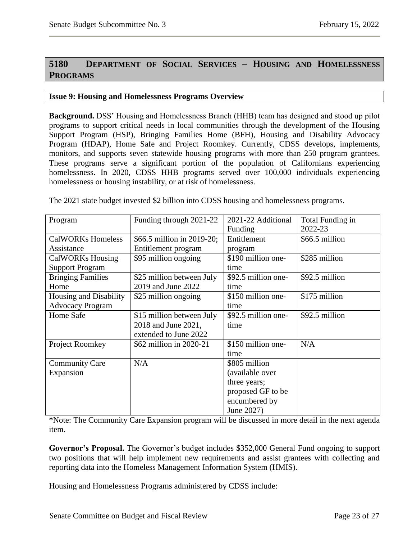# <span id="page-22-0"></span>**5180 DEPARTMENT OF SOCIAL SERVICES – HOUSING AND HOMELESSNESS PROGRAMS**

#### <span id="page-22-1"></span>**Issue 9: Housing and Homelessness Programs Overview**

**Background.** DSS' Housing and Homelessness Branch (HHB) team has designed and stood up pilot programs to support critical needs in local communities through the development of the Housing Support Program (HSP), Bringing Families Home (BFH), Housing and Disability Advocacy Program (HDAP), Home Safe and Project Roomkey. Currently, CDSS develops, implements, monitors, and supports seven statewide housing programs with more than 250 program grantees. These programs serve a significant portion of the population of Californians experiencing homelessness. In 2020, CDSS HHB programs served over 100,000 individuals experiencing homelessness or housing instability, or at risk of homelessness.

The 2021 state budget invested \$2 billion into CDSS housing and homelessness programs.

| Program                  | Funding through 2021-22    | 2021-22 Additional<br>Funding | Total Funding in<br>2022-23 |
|--------------------------|----------------------------|-------------------------------|-----------------------------|
| <b>CalWORKs Homeless</b> | \$66.5 million in 2019-20; | Entitlement                   | \$66.5 million              |
| Assistance               | Entitlement program        | program                       |                             |
| <b>CalWORKs Housing</b>  | \$95 million ongoing       | \$190 million one-            | \$285 million               |
| <b>Support Program</b>   |                            | time                          |                             |
| <b>Bringing Families</b> | \$25 million between July  | \$92.5 million one-           | \$92.5 million              |
| Home                     | 2019 and June 2022         | time                          |                             |
| Housing and Disability   | \$25 million ongoing       | \$150 million one-            | \$175 million               |
| <b>Advocacy Program</b>  |                            | time                          |                             |
| Home Safe                | \$15 million between July  | \$92.5 million one-           | \$92.5 million              |
|                          | 2018 and June 2021,        | time                          |                             |
|                          | extended to June 2022      |                               |                             |
| Project Roomkey          | \$62 million in 2020-21    | \$150 million one-            | N/A                         |
|                          |                            | time                          |                             |
| <b>Community Care</b>    | N/A                        | \$805 million                 |                             |
| Expansion                |                            | (available over               |                             |
|                          |                            | three years;                  |                             |
|                          |                            | proposed GF to be             |                             |
|                          |                            | encumbered by                 |                             |
|                          |                            | June 2027)                    |                             |

\*Note: The Community Care Expansion program will be discussed in more detail in the next agenda item.

**Governor's Proposal.** The Governor's budget includes \$352,000 General Fund ongoing to support two positions that will help implement new requirements and assist grantees with collecting and reporting data into the Homeless Management Information System (HMIS).

Housing and Homelessness Programs administered by CDSS include: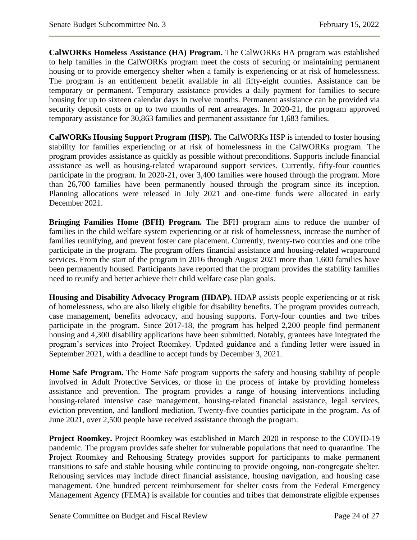**CalWORKs Homeless Assistance (HA) Program.** The CalWORKs HA program was established to help families in the CalWORKs program meet the costs of securing or maintaining permanent housing or to provide emergency shelter when a family is experiencing or at risk of homelessness. The program is an entitlement benefit available in all fifty-eight counties. Assistance can be temporary or permanent. Temporary assistance provides a daily payment for families to secure housing for up to sixteen calendar days in twelve months. Permanent assistance can be provided via security deposit costs or up to two months of rent arrearages. In 2020-21, the program approved temporary assistance for 30,863 families and permanent assistance for 1,683 families.

**CalWORKs Housing Support Program (HSP).** The CalWORKs HSP is intended to foster housing stability for families experiencing or at risk of homelessness in the CalWORKs program. The program provides assistance as quickly as possible without preconditions. Supports include financial assistance as well as housing-related wraparound support services. Currently, fifty-four counties participate in the program. In 2020-21, over 3,400 families were housed through the program. More than 26,700 families have been permanently housed through the program since its inception. Planning allocations were released in July 2021 and one-time funds were allocated in early December 2021.

**Bringing Families Home (BFH) Program.** The BFH program aims to reduce the number of families in the child welfare system experiencing or at risk of homelessness, increase the number of families reunifying, and prevent foster care placement. Currently, twenty-two counties and one tribe participate in the program. The program offers financial assistance and housing-related wraparound services. From the start of the program in 2016 through August 2021 more than 1,600 families have been permanently housed. Participants have reported that the program provides the stability families need to reunify and better achieve their child welfare case plan goals.

**Housing and Disability Advocacy Program (HDAP).** HDAP assists people experiencing or at risk of homelessness, who are also likely eligible for disability benefits. The program provides outreach, case management, benefits advocacy, and housing supports. Forty-four counties and two tribes participate in the program. Since 2017-18, the program has helped 2,200 people find permanent housing and 4,300 disability applications have been submitted. Notably, grantees have integrated the program's services into Project Roomkey. Updated guidance and a funding letter were issued in September 2021, with a deadline to accept funds by December 3, 2021.

**Home Safe Program.** The Home Safe program supports the safety and housing stability of people involved in Adult Protective Services, or those in the process of intake by providing homeless assistance and prevention. The program provides a range of housing interventions including housing-related intensive case management, housing-related financial assistance, legal services, eviction prevention, and landlord mediation. Twenty-five counties participate in the program. As of June 2021, over 2,500 people have received assistance through the program.

**Project Roomkey.** Project Roomkey was established in March 2020 in response to the COVID-19 pandemic. The program provides safe shelter for vulnerable populations that need to quarantine. The Project Roomkey and Rehousing Strategy provides support for participants to make permanent transitions to safe and stable housing while continuing to provide ongoing, non-congregate shelter. Rehousing services may include direct financial assistance, housing navigation, and housing case management. One hundred percent reimbursement for shelter costs from the Federal Emergency Management Agency (FEMA) is available for counties and tribes that demonstrate eligible expenses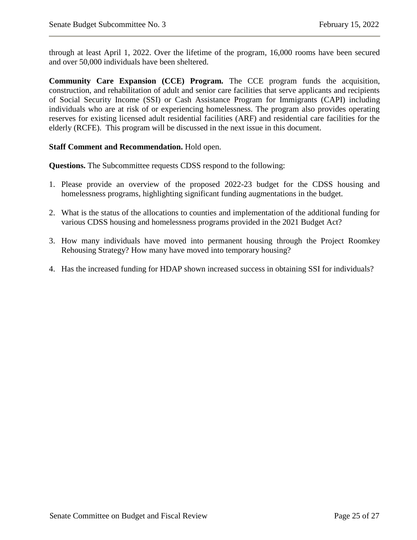through at least April 1, 2022. Over the lifetime of the program, 16,000 rooms have been secured and over 50,000 individuals have been sheltered.

**Community Care Expansion (CCE) Program.** The CCE program funds the acquisition, construction, and rehabilitation of adult and senior care facilities that serve applicants and recipients of Social Security Income (SSI) or Cash Assistance Program for Immigrants (CAPI) including individuals who are at risk of or experiencing homelessness. The program also provides operating reserves for existing licensed adult residential facilities (ARF) and residential care facilities for the elderly (RCFE). This program will be discussed in the next issue in this document.

## **Staff Comment and Recommendation.** Hold open.

- 1. Please provide an overview of the proposed 2022-23 budget for the CDSS housing and homelessness programs, highlighting significant funding augmentations in the budget.
- 2. What is the status of the allocations to counties and implementation of the additional funding for various CDSS housing and homelessness programs provided in the 2021 Budget Act?
- 3. How many individuals have moved into permanent housing through the Project Roomkey Rehousing Strategy? How many have moved into temporary housing?
- 4. Has the increased funding for HDAP shown increased success in obtaining SSI for individuals?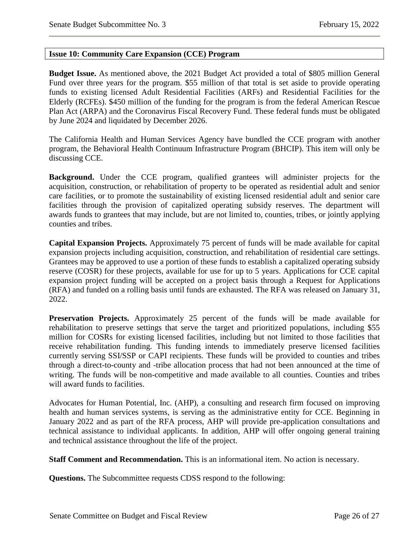#### <span id="page-25-0"></span>**Issue 10: Community Care Expansion (CCE) Program**

**Budget Issue.** As mentioned above, the 2021 Budget Act provided a total of \$805 million General Fund over three years for the program. \$55 million of that total is set aside to provide operating funds to existing licensed Adult Residential Facilities (ARFs) and Residential Facilities for the Elderly (RCFEs). \$450 million of the funding for the program is from the federal American Rescue Plan Act (ARPA) and the Coronavirus Fiscal Recovery Fund. These federal funds must be obligated by June 2024 and liquidated by December 2026.

The California Health and Human Services Agency have bundled the CCE program with another program, the Behavioral Health Continuum Infrastructure Program (BHCIP). This item will only be discussing CCE.

**Background.** Under the CCE program, qualified grantees will administer projects for the acquisition, construction, or rehabilitation of property to be operated as residential adult and senior care facilities, or to promote the sustainability of existing licensed residential adult and senior care facilities through the provision of capitalized operating subsidy reserves. The department will awards funds to grantees that may include, but are not limited to, counties, tribes, or jointly applying counties and tribes.

**Capital Expansion Projects.** Approximately 75 percent of funds will be made available for capital expansion projects including acquisition, construction, and rehabilitation of residential care settings. Grantees may be approved to use a portion of these funds to establish a capitalized operating subsidy reserve (COSR) for these projects, available for use for up to 5 years. Applications for CCE capital expansion project funding will be accepted on a project basis through a Request for Applications (RFA) and funded on a rolling basis until funds are exhausted. The RFA was released on January 31, 2022.

**Preservation Projects.** Approximately 25 percent of the funds will be made available for rehabilitation to preserve settings that serve the target and prioritized populations, including \$55 million for COSRs for existing licensed facilities, including but not limited to those facilities that receive rehabilitation funding. This funding intends to immediately preserve licensed facilities currently serving SSI/SSP or CAPI recipients. These funds will be provided to counties and tribes through a direct-to-county and -tribe allocation process that had not been announced at the time of writing. The funds will be non-competitive and made available to all counties. Counties and tribes will award funds to facilities.

Advocates for Human Potential, Inc. (AHP), a consulting and research firm focused on improving health and human services systems, is serving as the administrative entity for CCE. Beginning in January 2022 and as part of the RFA process, AHP will provide pre-application consultations and technical assistance to individual applicants. In addition, AHP will offer ongoing general training and technical assistance throughout the life of the project.

**Staff Comment and Recommendation.** This is an informational item. No action is necessary.